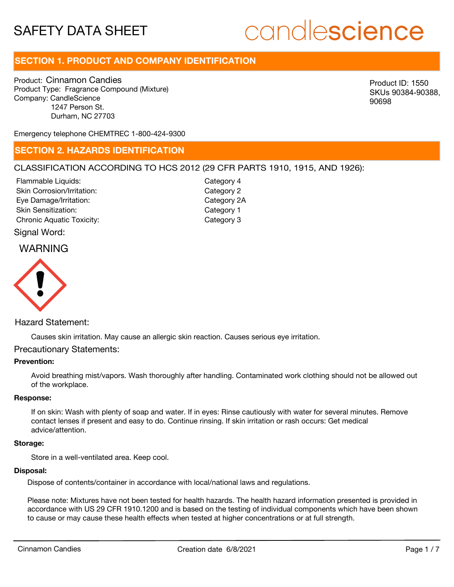# candlescience

# **SECTION 1. PRODUCT AND COMPANY IDENTIFICATION**

Product: Cinnamon Candies Product Type: Fragrance Compound (Mixture) Company: CandleScience 1247 Person St. Durham, NC 27703

Product ID: 1550 SKUs 90384-90388, 90698

Emergency telephone CHEMTREC 1-800-424-9300

### **SECTION 2. HAZARDS IDENTIFICATION**

#### CLASSIFICATION ACCORDING TO HCS 2012 (29 CFR PARTS 1910, 1915, AND 1926):

Skin Corrosion/Irritation: Eye Damage/Irritation: Skin Sensitization: Chronic Aquatic Toxicity: Chronic Aquatic Toxicity: Flammable Liquids:

Category 2 Category 2A Category 1 Category 4

# Signal Word:



#### Hazard Statement:

Causes skin irritation. May cause an allergic skin reaction. Causes serious eye irritation.

#### Precautionary Statements:

#### **Prevention:**

Avoid breathing mist/vapors. Wash thoroughly after handling. Contaminated work clothing should not be allowed out of the workplace.

#### **Response:**

If on skin: Wash with plenty of soap and water. If in eyes: Rinse cautiously with water for several minutes. Remove contact lenses if present and easy to do. Continue rinsing. If skin irritation or rash occurs: Get medical advice/attention.

#### **Storage:**

Store in a well-ventilated area. Keep cool.

#### **Disposal:**

Dispose of contents/container in accordance with local/national laws and regulations.

Please note: Mixtures have not been tested for health hazards. The health hazard information presented is provided in accordance with US 29 CFR 1910.1200 and is based on the testing of individual components which have been shown to cause or may cause these health effects when tested at higher concentrations or at full strength.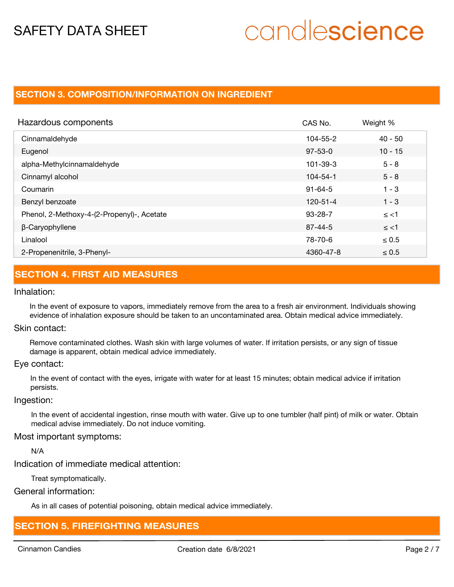# candlescience

## **SECTION 3. COMPOSITION/INFORMATION ON INGREDIENT**

| Hazardous components                       | CAS No.        | Weight %   |
|--------------------------------------------|----------------|------------|
| Cinnamaldehyde                             | 104-55-2       | $40 - 50$  |
| Eugenol                                    | $97 - 53 - 0$  | $10 - 15$  |
| alpha-Methylcinnamaldehyde                 | 101-39-3       | $5 - 8$    |
| Cinnamyl alcohol                           | $104 - 54 - 1$ | $5 - 8$    |
| Coumarin                                   | $91 - 64 - 5$  | $1 - 3$    |
| Benzyl benzoate                            | 120-51-4       | $1 - 3$    |
| Phenol, 2-Methoxy-4-(2-Propenyl)-, Acetate | $93 - 28 - 7$  | $\le$ <1   |
| β-Caryophyllene                            | $87 - 44 - 5$  | $\le$ <1   |
| Linalool                                   | 78-70-6        | $\leq 0.5$ |
| 2-Propenenitrile, 3-Phenyl-                | 4360-47-8      | $\leq 0.5$ |

# **SECTION 4. FIRST AID MEASURES**

#### Inhalation:

In the event of exposure to vapors, immediately remove from the area to a fresh air environment. Individuals showing evidence of inhalation exposure should be taken to an uncontaminated area. Obtain medical advice immediately.

#### Skin contact:

Remove contaminated clothes. Wash skin with large volumes of water. If irritation persists, or any sign of tissue damage is apparent, obtain medical advice immediately.

#### Eye contact:

In the event of contact with the eyes, irrigate with water for at least 15 minutes; obtain medical advice if irritation persists.

#### Ingestion:

In the event of accidental ingestion, rinse mouth with water. Give up to one tumbler (half pint) of milk or water. Obtain medical advise immediately. Do not induce vomiting.

#### Most important symptoms:

N/A

Indication of immediate medical attention:

Treat symptomatically.

#### General information:

As in all cases of potential poisoning, obtain medical advice immediately.

## **SECTION 5. FIREFIGHTING MEASURES**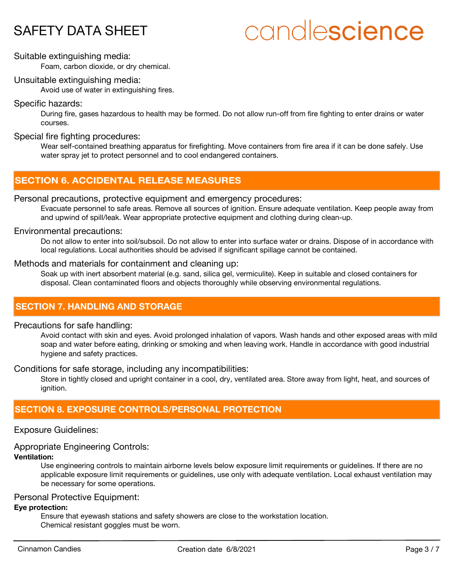# candlescience

#### Suitable extinguishing media:

Foam, carbon dioxide, or dry chemical.

#### Unsuitable extinguishing media:

Avoid use of water in extinguishing fires.

#### Specific hazards:

During fire, gases hazardous to health may be formed. Do not allow run-off from fire fighting to enter drains or water courses.

#### Special fire fighting procedures:

Wear self-contained breathing apparatus for firefighting. Move containers from fire area if it can be done safely. Use water spray jet to protect personnel and to cool endangered containers.

# **SECTION 6. ACCIDENTAL RELEASE MEASURES**

#### Personal precautions, protective equipment and emergency procedures:

Evacuate personnel to safe areas. Remove all sources of ignition. Ensure adequate ventilation. Keep people away from and upwind of spill/leak. Wear appropriate protective equipment and clothing during clean-up.

#### Environmental precautions:

Do not allow to enter into soil/subsoil. Do not allow to enter into surface water or drains. Dispose of in accordance with local regulations. Local authorities should be advised if significant spillage cannot be contained.

#### Methods and materials for containment and cleaning up:

Soak up with inert absorbent material (e.g. sand, silica gel, vermiculite). Keep in suitable and closed containers for disposal. Clean contaminated floors and objects thoroughly while observing environmental regulations.

## **SECTION 7. HANDLING AND STORAGE**

#### Precautions for safe handling:

Avoid contact with skin and eyes. Avoid prolonged inhalation of vapors. Wash hands and other exposed areas with mild soap and water before eating, drinking or smoking and when leaving work. Handle in accordance with good industrial hygiene and safety practices.

Conditions for safe storage, including any incompatibilities:

Store in tightly closed and upright container in a cool, dry, ventilated area. Store away from light, heat, and sources of ignition.

## **SECTION 8. EXPOSURE CONTROLS/PERSONAL PROTECTION**

#### Exposure Guidelines:

## Appropriate Engineering Controls:

### **Ventilation:**

Use engineering controls to maintain airborne levels below exposure limit requirements or guidelines. If there are no applicable exposure limit requirements or guidelines, use only with adequate ventilation. Local exhaust ventilation may be necessary for some operations.

#### Personal Protective Equipment:

#### **Eye protection:**

Ensure that eyewash stations and safety showers are close to the workstation location. Chemical resistant goggles must be worn.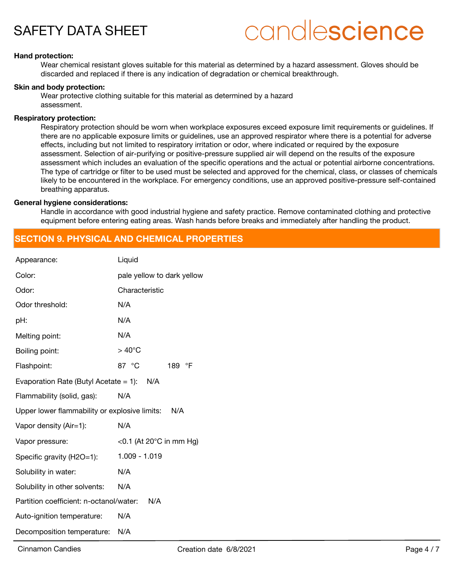# candlescience

#### **Hand protection:**

Wear chemical resistant gloves suitable for this material as determined by a hazard assessment. Gloves should be discarded and replaced if there is any indication of degradation or chemical breakthrough.

#### **Skin and body protection:**

Wear protective clothing suitable for this material as determined by a hazard assessment.

#### **Respiratory protection:**

Respiratory protection should be worn when workplace exposures exceed exposure limit requirements or guidelines. If there are no applicable exposure limits or guidelines, use an approved respirator where there is a potential for adverse effects, including but not limited to respiratory irritation or odor, where indicated or required by the exposure assessment. Selection of air-purifying or positive-pressure supplied air will depend on the results of the exposure assessment which includes an evaluation of the specific operations and the actual or potential airborne concentrations. The type of cartridge or filter to be used must be selected and approved for the chemical, class, or classes of chemicals likely to be encountered in the workplace. For emergency conditions, use an approved positive-pressure self-contained breathing apparatus.

#### **General hygiene considerations:**

Handle in accordance with good industrial hygiene and safety practice. Remove contaminated clothing and protective equipment before entering eating areas. Wash hands before breaks and immediately after handling the product.

## **SECTION 9. PHYSICAL AND CHEMICAL PROPERTIES**

| Appearance:                                          | Liquid                             |  |
|------------------------------------------------------|------------------------------------|--|
| Color:                                               | pale yellow to dark yellow         |  |
| Odor:                                                | Characteristic                     |  |
| Odor threshold:                                      | N/A                                |  |
| pH:                                                  | N/A                                |  |
| Melting point:                                       | N/A                                |  |
| Boiling point:                                       | $>40^{\circ}$ C                    |  |
| Flashpoint:                                          | 87 $\degree$ C<br>189 °F           |  |
| Evaporation Rate (Butyl Acetate = 1): $N/A$          |                                    |  |
| Flammability (solid, gas):                           | N/A                                |  |
| Upper lower flammability or explosive limits:<br>N/A |                                    |  |
| Vapor density (Air=1):                               | N/A                                |  |
| Vapor pressure:                                      | <0.1 (At 20 $^{\circ}$ C in mm Hg) |  |
| Specific gravity (H2O=1):                            | 1.009 - 1.019                      |  |
| Solubility in water:                                 | N/A                                |  |
| Solubility in other solvents:                        | N/A                                |  |
| Partition coefficient: n-octanol/water:              | N/A                                |  |
| Auto-ignition temperature:                           | N/A                                |  |
| Decomposition temperature:                           | N/A                                |  |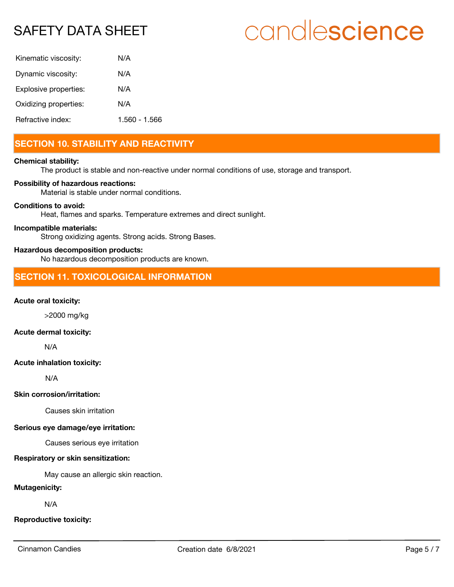# candlescience

| Kinematic viscosity:  | N/A           |
|-----------------------|---------------|
| Dynamic viscosity:    | N/A           |
| Explosive properties: | N/A           |
| Oxidizing properties: | N/A           |
| Refractive index:     | 1.560 - 1.566 |

# **SECTION 10. STABILITY AND REACTIVITY**

#### **Chemical stability:**

The product is stable and non-reactive under normal conditions of use, storage and transport.

#### **Possibility of hazardous reactions:**

Material is stable under normal conditions.

#### **Conditions to avoid:**

Heat, flames and sparks. Temperature extremes and direct sunlight.

#### **Incompatible materials:**

Strong oxidizing agents. Strong acids. Strong Bases.

#### **Hazardous decomposition products:**

No hazardous decomposition products are known.

## **SECTION 11. TOXICOLOGICAL INFORMATION**

#### **Acute oral toxicity:**

>2000 mg/kg

### **Acute dermal toxicity:**

N/A

#### **Acute inhalation toxicity:**

N/A

#### **Skin corrosion/irritation:**

Causes skin irritation

#### **Serious eye damage/eye irritation:**

Causes serious eye irritation

### **Respiratory or skin sensitization:**

May cause an allergic skin reaction.

### **Mutagenicity:**

N/A

### **Reproductive toxicity:**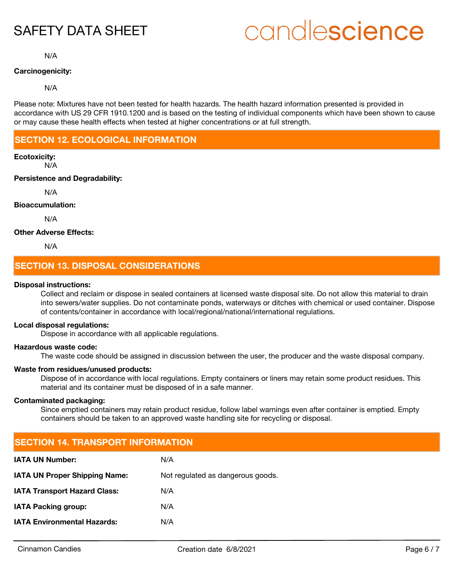# candlescience

N/A

#### **Carcinogenicity:**

#### N/A

Please note: Mixtures have not been tested for health hazards. The health hazard information presented is provided in accordance with US 29 CFR 1910.1200 and is based on the testing of individual components which have been shown to cause or may cause these health effects when tested at higher concentrations or at full strength.

# **SECTION 12. ECOLOGICAL INFORMATION**

#### **Ecotoxicity:**

N/A

#### **Persistence and Degradability:**

N/A

#### **Bioaccumulation:**

N/A

#### **Other Adverse Effects:**

N/A

# **SECTION 13. DISPOSAL CONSIDERATIONS**

#### **Disposal instructions:**

Collect and reclaim or dispose in sealed containers at licensed waste disposal site. Do not allow this material to drain into sewers/water supplies. Do not contaminate ponds, waterways or ditches with chemical or used container. Dispose of contents/container in accordance with local/regional/national/international regulations.

#### **Local disposal regulations:**

Dispose in accordance with all applicable regulations.

#### **Hazardous waste code:**

The waste code should be assigned in discussion between the user, the producer and the waste disposal company.

#### **Waste from residues/unused products:**

Dispose of in accordance with local regulations. Empty containers or liners may retain some product residues. This material and its container must be disposed of in a safe manner.

#### **Contaminated packaging:**

Since emptied containers may retain product residue, follow label warnings even after container is emptied. Empty containers should be taken to an approved waste handling site for recycling or disposal.

| <b>SECTION 14. TRANSPORT INFORMATION</b> |                                   |  |  |  |
|------------------------------------------|-----------------------------------|--|--|--|
| <b>IATA UN Number:</b>                   | N/A                               |  |  |  |
| <b>IATA UN Proper Shipping Name:</b>     | Not regulated as dangerous goods. |  |  |  |
| <b>IATA Transport Hazard Class:</b>      | N/A                               |  |  |  |
| <b>IATA Packing group:</b>               | N/A                               |  |  |  |
| <b>IATA Environmental Hazards:</b>       | N/A                               |  |  |  |